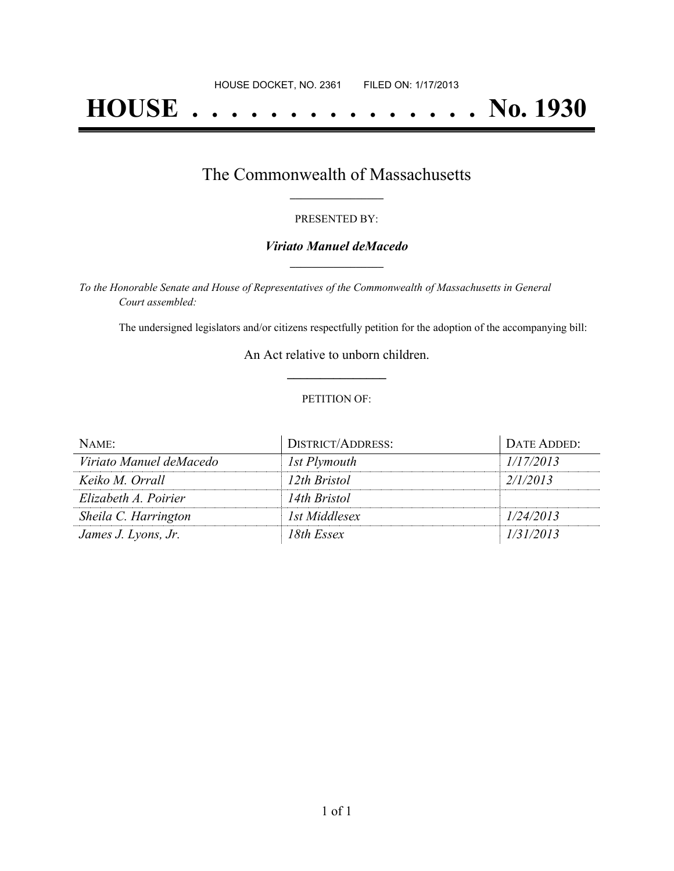# **HOUSE . . . . . . . . . . . . . . . No. 1930**

## The Commonwealth of Massachusetts **\_\_\_\_\_\_\_\_\_\_\_\_\_\_\_\_\_**

#### PRESENTED BY:

#### *Viriato Manuel deMacedo* **\_\_\_\_\_\_\_\_\_\_\_\_\_\_\_\_\_**

*To the Honorable Senate and House of Representatives of the Commonwealth of Massachusetts in General Court assembled:*

The undersigned legislators and/or citizens respectfully petition for the adoption of the accompanying bill:

An Act relative to unborn children. **\_\_\_\_\_\_\_\_\_\_\_\_\_\_\_**

#### PETITION OF:

| NAME:                   | <b>DISTRICT/ADDRESS:</b> | DATE ADDED: |
|-------------------------|--------------------------|-------------|
| Viriato Manuel deMacedo | 1st Plymouth             | 1/17/2013   |
| Keiko M. Orrall         | 12th Bristol             | 2/1/2013    |
| Elizabeth A. Poirier    | 14th Bristol             |             |
| Sheila C. Harrington    | 1st Middlesex            | 1/24/2013   |
| James J. Lyons, Jr.     | 18th Essex               | 1/31/2013   |